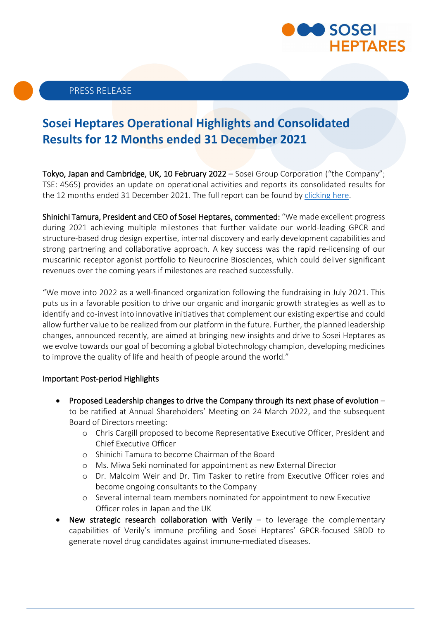

# **Sosei Heptares Operational Highlights and Consolidated Results for 12 Months ended 31 December 2021**

Tokyo, Japan and Cambridge, UK, 10 February 2022 – Sosei Group Corporation ("the Company"; TSE: 4565) provides an update on operational activities and reports its consolidated results for the 12 months ended 31 December 2021. The full report can be found by [clicking here.](https://soseiheptares.com/investors/financials-filings/financial-results.html)

Shinichi Tamura, President and CEO of Sosei Heptares, commented: "We made excellent progress during 2021 achieving multiple milestones that further validate our world-leading GPCR and structure-based drug design expertise, internal discovery and early development capabilities and strong partnering and collaborative approach. A key success was the rapid re-licensing of our muscarinic receptor agonist portfolio to Neurocrine Biosciences, which could deliver significant revenues over the coming years if milestones are reached successfully.

"We move into 2022 as a well-financed organization following the fundraising in July 2021. This puts us in a favorable position to drive our organic and inorganic growth strategies as well as to identify and co-invest into innovative initiatives that complement our existing expertise and could allow further value to be realized from our platform in the future. Further, the planned leadership changes, announced recently, are aimed at bringing new insights and drive to Sosei Heptares as we evolve towards our goal of becoming a global biotechnology champion, developing medicines to improve the quality of life and health of people around the world."

#### Important Post-period Highlights

- Proposed Leadership changes to drive the Company through its next phase of evolution to be ratified at Annual Shareholders' Meeting on 24 March 2022, and the subsequent Board of Directors meeting:
	- o Chris Cargill proposed to become Representative Executive Officer, President and Chief Executive Officer
	- o Shinichi Tamura to become Chairman of the Board
	- o Ms. Miwa Seki nominated for appointment as new External Director
	- o Dr. Malcolm Weir and Dr. Tim Tasker to retire from Executive Officer roles and become ongoing consultants to the Company
	- o Several internal team members nominated for appointment to new Executive Officer roles in Japan and the UK
- New strategic research collaboration with Verily  $-$  to leverage the complementary capabilities of Verily's immune profiling and Sosei Heptares' GPCR-focused SBDD to generate novel drug candidates against immune-mediated diseases.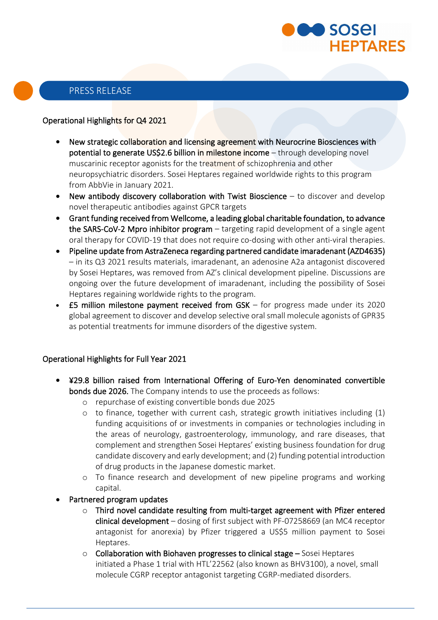

## Operational Highlights for Q4 2021

- New strategic collaboration and licensing agreement with Neurocrine Biosciences with potential to generate US\$2.6 billion in milestone income - through developing novel muscarinic receptor agonists for the treatment of schizophrenia and other neuropsychiatric disorders. Sosei Heptares regained worldwide rights to this program from AbbVie in January 2021.
- New antibody discovery collaboration with Twist Bioscience to discover and develop novel therapeutic antibodies against GPCR targets
- Grant funding received from Wellcome, a leading global charitable foundation, to advance the SARS-CoV-2 Mpro inhibitor program – targeting rapid development of a single agent oral therapy for COVID-19 that does not require co-dosing with other anti-viral therapies.
- Pipeline update from AstraZeneca regarding partnered candidate imaradenant (AZD4635) – in its Q3 2021 results materials, imaradenant, an adenosine A2a antagonist discovered by Sosei Heptares, was removed from AZ's clinical development pipeline. Discussions are ongoing over the future development of imaradenant, including the possibility of Sosei Heptares regaining worldwide rights to the program.
- $£5$  million milestone payment received from GSK for progress made under its 2020 global agreement to discover and develop selective oral small molecule agonists of GPR35 as potential treatments for immune disorders of the digestive system.

## Operational Highlights for Full Year 2021

- ¥29.8 billion raised from International Offering of Euro-Yen denominated convertible bonds due 2026. The Company intends to use the proceeds as follows:
	- o repurchase of existing convertible bonds due 2025
	- $\circ$  to finance, together with current cash, strategic growth initiatives including  $(1)$ funding acquisitions of or investments in companies or technologies including in the areas of neurology, gastroenterology, immunology, and rare diseases, that complement and strengthen Sosei Heptares' existing business foundation for drug candidate discovery and early development; and (2) funding potential introduction of drug products in the Japanese domestic market.
	- o To finance research and development of new pipeline programs and working capital.
- Partnered program updates
	- o Third novel candidate resulting from multi-target agreement with Pfizer entered clinical development – dosing of first subject with PF-07258669 (an MC4 receptor antagonist for anorexia) by Pfizer triggered a US\$5 million payment to Sosei Heptares.
	- o Collaboration with Biohaven progresses to clinical stage Sosei Heptares initiated a Phase 1 trial with HTL'22562 (also known as BHV3100), a novel, small molecule CGRP receptor antagonist targeting CGRP-mediated disorders.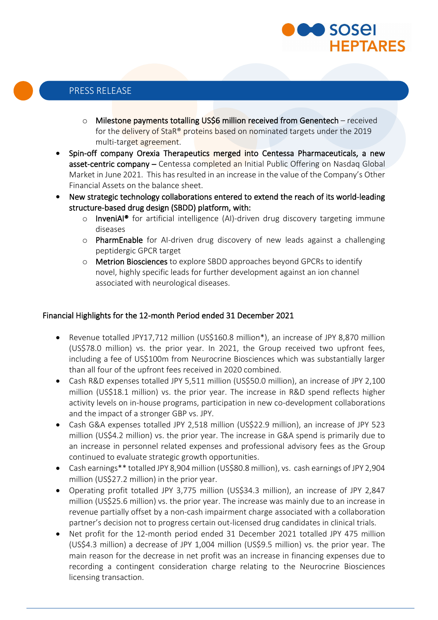

- o Milestone payments totalling US\$6 million received from Genentech received for the delivery of StaR® proteins based on nominated targets under the 2019 multi-target agreement.
- Spin-off company Orexia Therapeutics merged into Centessa Pharmaceuticals, a new asset-centric company - Centessa completed an Initial Public Offering on Nasdaq Global Market in June 2021. This has resulted in an increase in the value of the Company's Other Financial Assets on the balance sheet.
- New strategic technology collaborations entered to extend the reach of its world-leading structure-based drug design (SBDD) platform, with:
	- o InveniAI® for artificial intelligence (AI)-driven drug discovery targeting immune diseases
	- o PharmEnable for AI-driven drug discovery of new leads against a challenging peptidergic GPCR target
	- o Metrion Biosciences to explore SBDD approaches beyond GPCRs to identify novel, highly specific leads for further development against an ion channel associated with neurological diseases.

## Financial Highlights for the 12-month Period ended 31 December 2021

- Revenue totalled JPY17,712 million (US\$160.8 million\*), an increase of JPY 8,870 million (US\$78.0 million) vs. the prior year. In 2021, the Group received two upfront fees, including a fee of US\$100m from Neurocrine Biosciences which was substantially larger than all four of the upfront fees received in 2020 combined.
- Cash R&D expenses totalled JPY 5,511 million (US\$50.0 million), an increase of JPY 2,100 million (US\$18.1 million) vs. the prior year. The increase in R&D spend reflects higher activity levels on in-house programs, participation in new co-development collaborations and the impact of a stronger GBP vs. JPY.
- Cash G&A expenses totalled JPY 2,518 million (US\$22.9 million), an increase of JPY 523 million (US\$4.2 million) vs. the prior year. The increase in G&A spend is primarily due to an increase in personnel related expenses and professional advisory fees as the Group continued to evaluate strategic growth opportunities.
- Cash earnings\*\* totalled JPY 8,904 million (US\$80.8 million), vs. cash earnings of JPY 2,904 million (US\$27.2 million) in the prior year.
- Operating profit totalled JPY 3,775 million (US\$34.3 million), an increase of JPY 2,847 million (US\$25.6 million) vs. the prior year. The increase was mainly due to an increase in revenue partially offset by a non-cash impairment charge associated with a collaboration partner's decision not to progress certain out-licensed drug candidates in clinical trials.
- Net profit for the 12-month period ended 31 December 2021 totalled JPY 475 million (US\$4.3 million) a decrease of JPY 1,004 million (US\$9.5 million) vs. the prior year. The main reason for the decrease in net profit was an increase in financing expenses due to recording a contingent consideration charge relating to the Neurocrine Biosciences licensing transaction.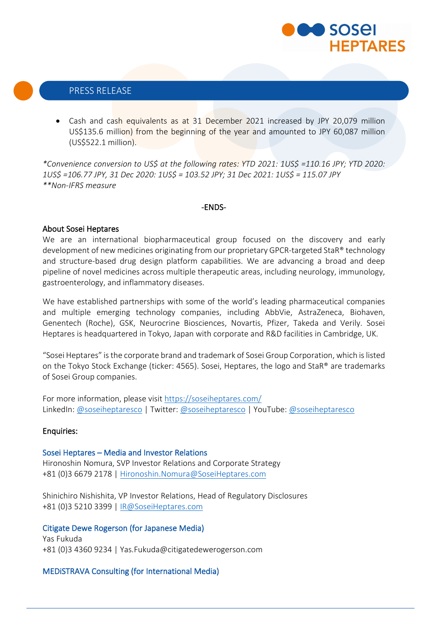

• Cash and cash equivalents as at 31 December 2021 increased by JPY 20,079 million US\$135.6 million) from the beginning of the year and amounted to JPY 60,087 million (US\$522.1 million).

*\*Convenience conversion to US\$ at the following rates: YTD 2021: 1US\$ =110.16 JPY; YTD 2020: 1US\$ =106.77 JPY, 31 Dec 2020: 1US\$ = 103.52 JPY; 31 Dec 2021: 1US\$ = 115.07 JPY \*\*Non-IFRS measure*

#### -ENDS-

#### About Sosei Heptares

We are an international biopharmaceutical group focused on the discovery and early development of new medicines originating from our proprietary GPCR-targeted StaR® technology and structure-based drug design platform capabilities. We are advancing a broad and deep pipeline of novel medicines across multiple therapeutic areas, including neurology, immunology, gastroenterology, and inflammatory diseases.

We have established partnerships with some of the world's leading pharmaceutical companies and multiple emerging technology companies, including AbbVie, AstraZeneca, Biohaven, Genentech (Roche), GSK, Neurocrine Biosciences, Novartis, Pfizer, Takeda and Verily. Sosei Heptares is headquartered in Tokyo, Japan with corporate and R&D facilities in Cambridge, UK.

"Sosei Heptares" is the corporate brand and trademark of Sosei Group Corporation, which is listed on the Tokyo Stock Exchange (ticker: 4565). Sosei, Heptares, the logo and StaR® are trademarks of Sosei Group companies.

For more information, please visit<https://soseiheptares.com/> LinkedIn: [@soseiheptaresco](https://www.youtube.com/channel/UCVIItbR5X7eoIwbgVrsR-dg) | Twitter[: @soseiheptaresco](https://twitter.com/soseiheptaresco) | YouTube: @soseiheptaresco

#### Enquiries:

#### Sosei Heptares – Media and Investor Relations

Hironoshin Nomura, SVP Investor Relations and Corporate Strategy +81 (0)3 6679 2178 | [Hironoshin.Nomura@SoseiHeptares.com](mailto:Hironoshin.Nomura@SoseiHeptares.com)

Shinichiro Nishishita, VP Investor Relations, Head of Regulatory Disclosures +81 (0)3 5210 3399 | [IR@SoseiHeptares.com](mailto:IR@SoseiHeptares.com)

#### Citigate Dewe Rogerson (for Japanese Media)

Yas Fukuda +81 (0)3 4360 9234 | Yas.Fukuda@citigatedewerogerson.com

#### MEDiSTRAVA Consulting (for International Media)